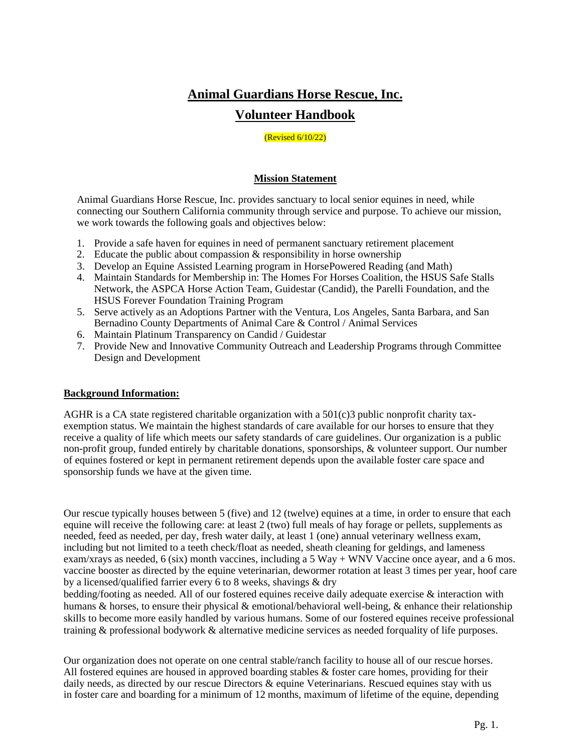# **Animal Guardians Horse Rescue, Inc. Volunteer Handbook**

#### (Revised 6/10/22)

#### **Mission Statement**

Animal Guardians Horse Rescue, Inc. provides sanctuary to local senior equines in need, while connecting our Southern California community through service and purpose. To achieve our mission, we work towards the following goals and objectives below:

- 1. Provide a safe haven for equines in need of permanent sanctuary retirement placement
- 2. Educate the public about compassion & responsibility in horse ownership
- 3. Develop an Equine Assisted Learning program in HorsePowered Reading (and Math)
- 4. Maintain Standards for Membership in: The Homes For Horses Coalition, the HSUS Safe Stalls Network, the ASPCA Horse Action Team, Guidestar (Candid), the Parelli Foundation, and the HSUS Forever Foundation Training Program
- 5. Serve actively as an Adoptions Partner with the Ventura, Los Angeles, Santa Barbara, and San Bernadino County Departments of Animal Care & Control / Animal Services
- 6. Maintain Platinum Transparency on Candid / Guidestar
- 7. Provide New and Innovative Community Outreach and Leadership Programs through Committee Design and Development

#### **Background Information:**

AGHR is a CA state registered charitable organization with a  $501(c)3$  public nonprofit charity taxexemption status. We maintain the highest standards of care available for our horses to ensure that they receive a quality of life which meets our safety standards of care guidelines. Our organization is a public non-profit group, funded entirely by charitable donations, sponsorships, & volunteer support. Our number of equines fostered or kept in permanent retirement depends upon the available foster care space and sponsorship funds we have at the given time.

Our rescue typically houses between 5 (five) and 12 (twelve) equines at a time, in order to ensure that each equine will receive the following care: at least 2 (two) full meals of hay forage or pellets, supplements as needed, feed as needed, per day, fresh water daily, at least 1 (one) annual veterinary wellness exam, including but not limited to a teeth check/float as needed, sheath cleaning for geldings, and lameness exam/xrays as needed,  $6$  (six) month vaccines, including a 5 Way + WNV Vaccine once ayear, and a 6 mos. vaccine booster as directed by the equine veterinarian, dewormer rotation at least 3 times per year, hoof care by a licensed/qualified farrier every 6 to 8 weeks, shavings & dry

bedding/footing as needed. All of our fostered equines receive daily adequate exercise & interaction with humans & horses, to ensure their physical & emotional/behavioral well-being, & enhance their relationship skills to become more easily handled by various humans. Some of our fostered equines receive professional training & professional bodywork & alternative medicine services as needed forquality of life purposes.

Our organization does not operate on one central stable/ranch facility to house all of our rescue horses. All fostered equines are housed in approved boarding stables & foster care homes, providing for their daily needs, as directed by our rescue Directors & equine Veterinarians. Rescued equines stay with us in foster care and boarding for a minimum of 12 months, maximum of lifetime of the equine, depending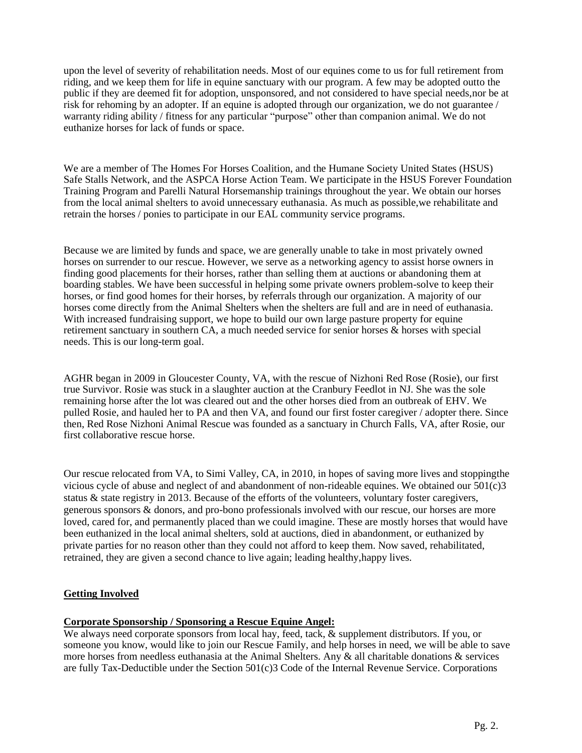upon the level of severity of rehabilitation needs. Most of our equines come to us for full retirement from riding, and we keep them for life in equine sanctuary with our program. A few may be adopted outto the public if they are deemed fit for adoption, unsponsored, and not considered to have special needs,nor be at risk for rehoming by an adopter. If an equine is adopted through our organization, we do not guarantee / warranty riding ability / fitness for any particular "purpose" other than companion animal. We do not euthanize horses for lack of funds or space.

We are a member of The Homes For Horses Coalition, and the Humane Society United States (HSUS) Safe Stalls Network, and the ASPCA Horse Action Team. We participate in the HSUS Forever Foundation Training Program and Parelli Natural Horsemanship trainings throughout the year. We obtain our horses from the local animal shelters to avoid unnecessary euthanasia. As much as possible,we rehabilitate and retrain the horses / ponies to participate in our EAL community service programs.

Because we are limited by funds and space, we are generally unable to take in most privately owned horses on surrender to our rescue. However, we serve as a networking agency to assist horse owners in finding good placements for their horses, rather than selling them at auctions or abandoning them at boarding stables. We have been successful in helping some private owners problem-solve to keep their horses, or find good homes for their horses, by referrals through our organization. A majority of our horses come directly from the Animal Shelters when the shelters are full and are in need of euthanasia. With increased fundraising support, we hope to build our own large pasture property for equine retirement sanctuary in southern CA, a much needed service for senior horses & horses with special needs. This is our long-term goal.

AGHR began in 2009 in Gloucester County, VA, with the rescue of Nizhoni Red Rose (Rosie), our first true Survivor. Rosie was stuck in a slaughter auction at the Cranbury Feedlot in NJ. She was the sole remaining horse after the lot was cleared out and the other horses died from an outbreak of EHV. We pulled Rosie, and hauled her to PA and then VA, and found our first foster caregiver / adopter there. Since then, Red Rose Nizhoni Animal Rescue was founded as a sanctuary in Church Falls, VA, after Rosie, our first collaborative rescue horse.

Our rescue relocated from VA, to Simi Valley, CA, in 2010, in hopes of saving more lives and stoppingthe vicious cycle of abuse and neglect of and abandonment of non-rideable equines. We obtained our 501(c)3 status & state registry in 2013. Because of the efforts of the volunteers, voluntary foster caregivers, generous sponsors & donors, and pro-bono professionals involved with our rescue, our horses are more loved, cared for, and permanently placed than we could imagine. These are mostly horses that would have been euthanized in the local animal shelters, sold at auctions, died in abandonment, or euthanized by private parties for no reason other than they could not afford to keep them. Now saved, rehabilitated, retrained, they are given a second chance to live again; leading healthy,happy lives.

## **Getting Involved**

#### **Corporate Sponsorship / Sponsoring a Rescue Equine Angel:**

We always need corporate sponsors from local hay, feed, tack,  $\&$  supplement distributors. If you, or someone you know, would like to join our Rescue Family, and help horses in need, we will be able to save more horses from needless euthanasia at the Animal Shelters. Any & all charitable donations & services are fully Tax-Deductible under the Section 501(c)3 Code of the Internal Revenue Service. Corporations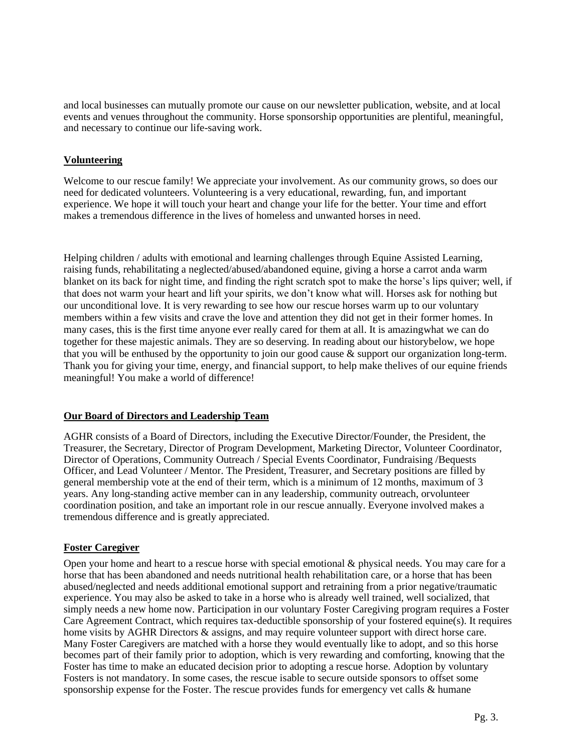and local businesses can mutually promote our cause on our newsletter publication, website, and at local events and venues throughout the community. Horse sponsorship opportunities are plentiful, meaningful, and necessary to continue our life-saving work.

## **Volunteering**

Welcome to our rescue family! We appreciate your involvement. As our community grows, so does our need for dedicated volunteers. Volunteering is a very educational, rewarding, fun, and important experience. We hope it will touch your heart and change your life for the better. Your time and effort makes a tremendous difference in the lives of homeless and unwanted horses in need.

Helping children / adults with emotional and learning challenges through Equine Assisted Learning, raising funds, rehabilitating a neglected/abused/abandoned equine, giving a horse a carrot anda warm blanket on its back for night time, and finding the right scratch spot to make the horse's lips quiver; well, if that does not warm your heart and lift your spirits, we don't know what will. Horses ask for nothing but our unconditional love. It is very rewarding to see how our rescue horses warm up to our voluntary members within a few visits and crave the love and attention they did not get in their former homes. In many cases, this is the first time anyone ever really cared for them at all. It is amazingwhat we can do together for these majestic animals. They are so deserving. In reading about our historybelow, we hope that you will be enthused by the opportunity to join our good cause & support our organization long-term. Thank you for giving your time, energy, and financial support, to help make thelives of our equine friends meaningful! You make a world of difference!

#### **Our Board of Directors and Leadership Team**

AGHR consists of a Board of Directors, including the Executive Director/Founder, the President, the Treasurer, the Secretary, Director of Program Development, Marketing Director, Volunteer Coordinator, Director of Operations, Community Outreach / Special Events Coordinator, Fundraising /Bequests Officer, and Lead Volunteer / Mentor. The President, Treasurer, and Secretary positions are filled by general membership vote at the end of their term, which is a minimum of 12 months, maximum of 3 years. Any long-standing active member can in any leadership, community outreach, orvolunteer coordination position, and take an important role in our rescue annually. Everyone involved makes a tremendous difference and is greatly appreciated.

## **Foster Caregiver**

Open your home and heart to a rescue horse with special emotional & physical needs. You may care for a horse that has been abandoned and needs nutritional health rehabilitation care, or a horse that has been abused/neglected and needs additional emotional support and retraining from a prior negative/traumatic experience. You may also be asked to take in a horse who is already well trained, well socialized, that simply needs a new home now. Participation in our voluntary Foster Caregiving program requires a Foster Care Agreement Contract, which requires tax-deductible sponsorship of your fostered equine(s). It requires home visits by AGHR Directors & assigns, and may require volunteer support with direct horse care. Many Foster Caregivers are matched with a horse they would eventually like to adopt, and so this horse becomes part of their family prior to adoption, which is very rewarding and comforting, knowing that the Foster has time to make an educated decision prior to adopting a rescue horse. Adoption by voluntary Fosters is not mandatory. In some cases, the rescue isable to secure outside sponsors to offset some sponsorship expense for the Foster. The rescue provides funds for emergency vet calls & humane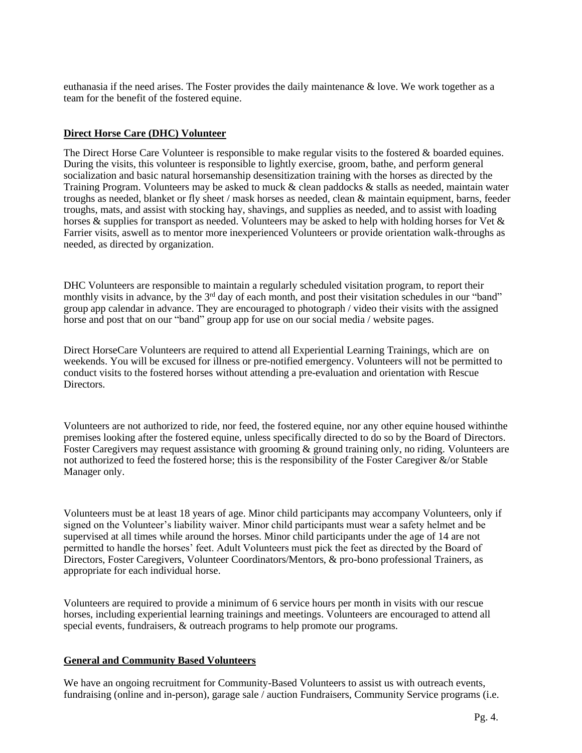euthanasia if the need arises. The Foster provides the daily maintenance & love. We work together as a team for the benefit of the fostered equine.

#### **Direct Horse Care (DHC) Volunteer**

The Direct Horse Care Volunteer is responsible to make regular visits to the fostered & boarded equines. During the visits, this volunteer is responsible to lightly exercise, groom, bathe, and perform general socialization and basic natural horsemanship desensitization training with the horses as directed by the Training Program. Volunteers may be asked to muck & clean paddocks & stalls as needed, maintain water troughs as needed, blanket or fly sheet / mask horses as needed, clean & maintain equipment, barns, feeder troughs, mats, and assist with stocking hay, shavings, and supplies as needed, and to assist with loading horses & supplies for transport as needed. Volunteers may be asked to help with holding horses for Vet & Farrier visits, aswell as to mentor more inexperienced Volunteers or provide orientation walk-throughs as needed, as directed by organization.

DHC Volunteers are responsible to maintain a regularly scheduled visitation program, to report their monthly visits in advance, by the 3<sup>rd</sup> day of each month, and post their visitation schedules in our "band" group app calendar in advance. They are encouraged to photograph / video their visits with the assigned horse and post that on our "band" group app for use on our social media / website pages.

Direct HorseCare Volunteers are required to attend all Experiential Learning Trainings, which are on weekends. You will be excused for illness or pre-notified emergency. Volunteers will not be permitted to conduct visits to the fostered horses without attending a pre-evaluation and orientation with Rescue Directors.

Volunteers are not authorized to ride, nor feed, the fostered equine, nor any other equine housed withinthe premises looking after the fostered equine, unless specifically directed to do so by the Board of Directors. Foster Caregivers may request assistance with grooming & ground training only, no riding. Volunteers are not authorized to feed the fostered horse; this is the responsibility of the Foster Caregiver &/or Stable Manager only.

Volunteers must be at least 18 years of age. Minor child participants may accompany Volunteers, only if signed on the Volunteer's liability waiver. Minor child participants must wear a safety helmet and be supervised at all times while around the horses. Minor child participants under the age of 14 are not permitted to handle the horses' feet. Adult Volunteers must pick the feet as directed by the Board of Directors, Foster Caregivers, Volunteer Coordinators/Mentors, & pro-bono professional Trainers, as appropriate for each individual horse.

Volunteers are required to provide a minimum of 6 service hours per month in visits with our rescue horses, including experiential learning trainings and meetings. Volunteers are encouraged to attend all special events, fundraisers, & outreach programs to help promote our programs.

#### **General and Community Based Volunteers**

We have an ongoing recruitment for Community-Based Volunteers to assist us with outreach events, fundraising (online and in-person), garage sale / auction Fundraisers, Community Service programs (i.e.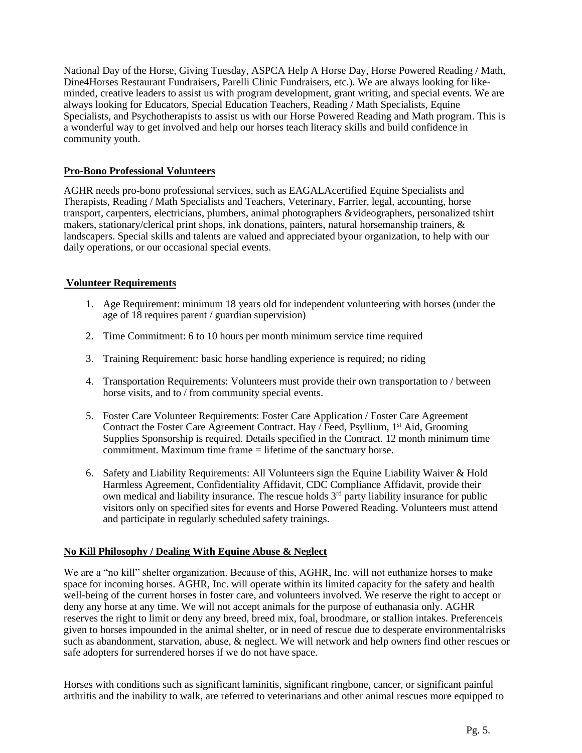National Day of the Horse, Giving Tuesday, ASPCA Help A Horse Day, Horse Powered Reading / Math, Dine4Horses Restaurant Fundraisers, Parelli Clinic Fundraisers, etc.). We are always looking for likeminded, creative leaders to assist us with program development, grant writing, and special events. We are always looking for Educators, Special Education Teachers, Reading / Math Specialists, Equine Specialists, and Psychotherapists to assist us with our Horse Powered Reading and Math program. This is a wonderful way to get involved and help our horses teach literacy skills and build confidence in community youth.

#### **Pro-Bono Professional Volunteers**

AGHR needs pro-bono professional services, such as EAGALAcertified Equine Specialists and Therapists, Reading / Math Specialists and Teachers, Veterinary, Farrier, legal, accounting, horse transport, carpenters, electricians, plumbers, animal photographers &videographers, personalized tshirt makers, stationary/clerical print shops, ink donations, painters, natural horsemanship trainers, & landscapers. Special skills and talents are valued and appreciated byour organization, to help with our daily operations, or our occasional special events.

### **Volunteer Requirements**

- 1. Age Requirement: minimum 18 years old for independent volunteering with horses (under the age of 18 requires parent / guardian supervision)
- 2. Time Commitment: 6 to 10 hours per month minimum service time required
- 3. Training Requirement: basic horse handling experience is required; no riding
- 4. Transportation Requirements: Volunteers must provide their own transportation to / between horse visits, and to / from community special events.
- 5. Foster Care Volunteer Requirements: Foster Care Application / Foster Care Agreement Contract the Foster Care Agreement Contract. Hay / Feed, Psyllium, 1<sup>st</sup> Aid, Grooming Supplies Sponsorship is required. Details specified in the Contract. 12 month minimum time commitment. Maximum time frame = lifetime of the sanctuary horse.
- 6. Safety and Liability Requirements: All Volunteers sign the Equine Liability Waiver & Hold Harmless Agreement, Confidentiality Affidavit, CDC Compliance Affidavit, provide their own medical and liability insurance. The rescue holds  $3<sup>rd</sup>$  party liability insurance for public visitors only on specified sites for events and Horse Powered Reading. Volunteers must attend and participate in regularly scheduled safety trainings.

## **No Kill Philosophy / Dealing With Equine Abuse & Neglect**

We are a "no kill" shelter organization. Because of this, AGHR, Inc. will not euthanize horses to make space for incoming horses. AGHR, Inc. will operate within its limited capacity for the safety and health well-being of the current horses in foster care, and volunteers involved. We reserve the right to accept or deny any horse at any time. We will not accept animals for the purpose of euthanasia only. AGHR reserves the right to limit or deny any breed, breed mix, foal, broodmare, or stallion intakes. Preferenceis given to horses impounded in the animal shelter, or in need of rescue due to desperate environmentalrisks such as abandonment, starvation, abuse, & neglect. We will network and help owners find other rescues or safe adopters for surrendered horses if we do not have space.

Horses with conditions such as significant laminitis, significant ringbone, cancer, or significant painful arthritis and the inability to walk, are referred to veterinarians and other animal rescues more equipped to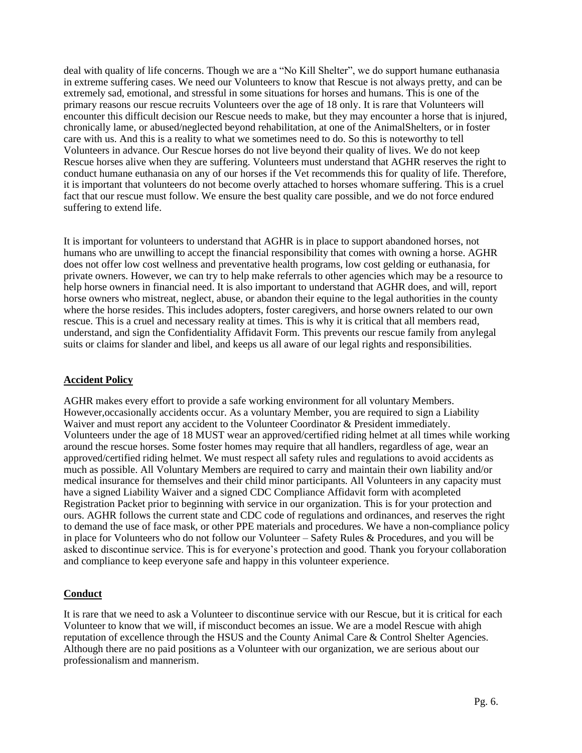deal with quality of life concerns. Though we are a "No Kill Shelter", we do support humane euthanasia in extreme suffering cases. We need our Volunteers to know that Rescue is not always pretty, and can be extremely sad, emotional, and stressful in some situations for horses and humans. This is one of the primary reasons our rescue recruits Volunteers over the age of 18 only. It is rare that Volunteers will encounter this difficult decision our Rescue needs to make, but they may encounter a horse that is injured, chronically lame, or abused/neglected beyond rehabilitation, at one of the AnimalShelters, or in foster care with us. And this is a reality to what we sometimes need to do. So this is noteworthy to tell Volunteers in advance. Our Rescue horses do not live beyond their quality of lives. We do not keep Rescue horses alive when they are suffering. Volunteers must understand that AGHR reserves the right to conduct humane euthanasia on any of our horses if the Vet recommends this for quality of life. Therefore, it is important that volunteers do not become overly attached to horses whomare suffering. This is a cruel fact that our rescue must follow. We ensure the best quality care possible, and we do not force endured suffering to extend life.

It is important for volunteers to understand that AGHR is in place to support abandoned horses, not humans who are unwilling to accept the financial responsibility that comes with owning a horse. AGHR does not offer low cost wellness and preventative health programs, low cost gelding or euthanasia, for private owners. However, we can try to help make referrals to other agencies which may be a resource to help horse owners in financial need. It is also important to understand that AGHR does, and will, report horse owners who mistreat, neglect, abuse, or abandon their equine to the legal authorities in the county where the horse resides. This includes adopters, foster caregivers, and horse owners related to our own rescue. This is a cruel and necessary reality at times. This is why it is critical that all members read, understand, and sign the Confidentiality Affidavit Form. This prevents our rescue family from anylegal suits or claims for slander and libel, and keeps us all aware of our legal rights and responsibilities.

#### **Accident Policy**

AGHR makes every effort to provide a safe working environment for all voluntary Members. However,occasionally accidents occur. As a voluntary Member, you are required to sign a Liability Waiver and must report any accident to the Volunteer Coordinator & President immediately. Volunteers under the age of 18 MUST wear an approved/certified riding helmet at all times while working around the rescue horses. Some foster homes may require that all handlers, regardless of age, wear an approved/certified riding helmet. We must respect all safety rules and regulations to avoid accidents as much as possible. All Voluntary Members are required to carry and maintain their own liability and/or medical insurance for themselves and their child minor participants. All Volunteers in any capacity must have a signed Liability Waiver and a signed CDC Compliance Affidavit form with acompleted Registration Packet prior to beginning with service in our organization. This is for your protection and ours. AGHR follows the current state and CDC code of regulations and ordinances, and reserves the right to demand the use of face mask, or other PPE materials and procedures. We have a non-compliance policy in place for Volunteers who do not follow our Volunteer – Safety Rules & Procedures, and you will be asked to discontinue service. This is for everyone's protection and good. Thank you foryour collaboration and compliance to keep everyone safe and happy in this volunteer experience.

## **Conduct**

It is rare that we need to ask a Volunteer to discontinue service with our Rescue, but it is critical for each Volunteer to know that we will, if misconduct becomes an issue. We are a model Rescue with ahigh reputation of excellence through the HSUS and the County Animal Care & Control Shelter Agencies. Although there are no paid positions as a Volunteer with our organization, we are serious about our professionalism and mannerism.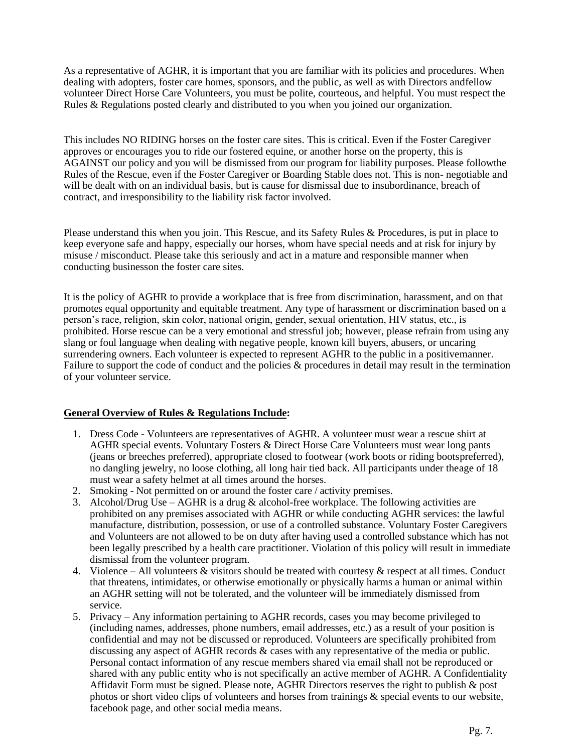As a representative of AGHR, it is important that you are familiar with its policies and procedures. When dealing with adopters, foster care homes, sponsors, and the public, as well as with Directors andfellow volunteer Direct Horse Care Volunteers, you must be polite, courteous, and helpful. You must respect the Rules & Regulations posted clearly and distributed to you when you joined our organization.

This includes NO RIDING horses on the foster care sites. This is critical. Even if the Foster Caregiver approves or encourages you to ride our fostered equine, or another horse on the property, this is AGAINST our policy and you will be dismissed from our program for liability purposes. Please followthe Rules of the Rescue, even if the Foster Caregiver or Boarding Stable does not. This is non- negotiable and will be dealt with on an individual basis, but is cause for dismissal due to insubordinance, breach of contract, and irresponsibility to the liability risk factor involved.

Please understand this when you join. This Rescue, and its Safety Rules & Procedures, is put in place to keep everyone safe and happy, especially our horses, whom have special needs and at risk for injury by misuse / misconduct. Please take this seriously and act in a mature and responsible manner when conducting businesson the foster care sites.

It is the policy of AGHR to provide a workplace that is free from discrimination, harassment, and on that promotes equal opportunity and equitable treatment. Any type of harassment or discrimination based on a person's race, religion, skin color, national origin, gender, sexual orientation, HIV status, etc., is prohibited. Horse rescue can be a very emotional and stressful job; however, please refrain from using any slang or foul language when dealing with negative people, known kill buyers, abusers, or uncaring surrendering owners. Each volunteer is expected to represent AGHR to the public in a positivemanner. Failure to support the code of conduct and the policies & procedures in detail may result in the termination of your volunteer service.

#### **General Overview of Rules & Regulations Include:**

- 1. Dress Code Volunteers are representatives of AGHR. A volunteer must wear a rescue shirt at AGHR special events. Voluntary Fosters & Direct Horse Care Volunteers must wear long pants (jeans or breeches preferred), appropriate closed to footwear (work boots or riding bootspreferred), no dangling jewelry, no loose clothing, all long hair tied back. All participants under theage of 18 must wear a safety helmet at all times around the horses.
- 2. Smoking Not permitted on or around the foster care / activity premises.
- 3. Alcohol/Drug Use AGHR is a drug  $&$  alcohol-free workplace. The following activities are prohibited on any premises associated with AGHR or while conducting AGHR services: the lawful manufacture, distribution, possession, or use of a controlled substance. Voluntary Foster Caregivers and Volunteers are not allowed to be on duty after having used a controlled substance which has not been legally prescribed by a health care practitioner. Violation of this policy will result in immediate dismissal from the volunteer program.
- 4. Violence All volunteers & visitors should be treated with courtesy & respect at all times. Conduct that threatens, intimidates, or otherwise emotionally or physically harms a human or animal within an AGHR setting will not be tolerated, and the volunteer will be immediately dismissed from service.
- 5. Privacy Any information pertaining to AGHR records, cases you may become privileged to (including names, addresses, phone numbers, email addresses, etc.) as a result of your position is confidential and may not be discussed or reproduced. Volunteers are specifically prohibited from discussing any aspect of AGHR records & cases with any representative of the media or public. Personal contact information of any rescue members shared via email shall not be reproduced or shared with any public entity who is not specifically an active member of AGHR. A Confidentiality Affidavit Form must be signed. Please note, AGHR Directors reserves the right to publish  $\&$  post photos or short video clips of volunteers and horses from trainings & special events to our website, facebook page, and other social media means.